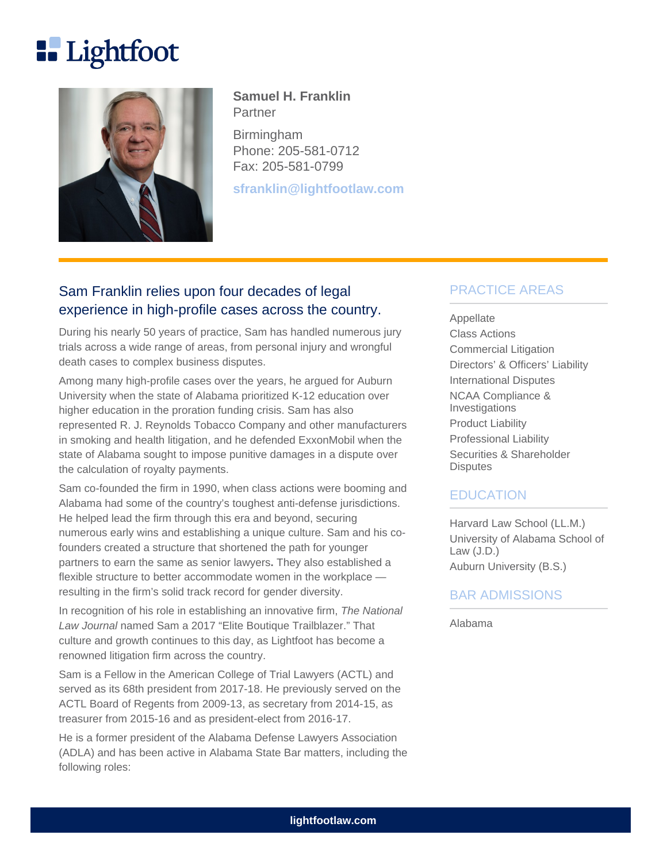# **Lightfoot**



### **Samuel H. Franklin Partner**

Birmingham Phone: 205-581-0712 Fax: 205-581-0799

**sfranklin@lightfootlaw.com**

# Sam Franklin relies upon four decades of legal experience in high-profile cases across the country.

During his nearly 50 years of practice, Sam has handled numerous jury trials across a wide range of areas, from personal injury and wrongful death cases to complex business disputes.

Among many high-profile cases over the years, he argued for Auburn University when the state of Alabama prioritized K-12 education over higher education in the proration funding crisis. Sam has also represented R. J. Reynolds Tobacco Company and other manufacturers in smoking and health litigation, and he defended ExxonMobil when the state of Alabama sought to impose punitive damages in a dispute over the calculation of royalty payments.

Sam co-founded the firm in 1990, when class actions were booming and Alabama had some of the country's toughest anti-defense jurisdictions. He helped lead the firm through this era and beyond, securing numerous early wins and establishing a unique culture. Sam and his cofounders created a structure that shortened the path for younger partners to earn the same as senior lawyers**.** They also established a flexible structure to better accommodate women in the workplace resulting in the firm's solid track record for gender diversity.

In recognition of his role in establishing an innovative firm, The National Law Journal named Sam a 2017 "Elite Boutique Trailblazer." That culture and growth continues to this day, as Lightfoot has become a renowned litigation firm across the country.

Sam is a Fellow in the American College of Trial Lawyers (ACTL) and served as its 68th president from 2017-18. He previously served on the ACTL Board of Regents from 2009-13, as secretary from 2014-15, as treasurer from 2015-16 and as president-elect from 2016-17.

He is a former president of the Alabama Defense Lawyers Association (ADLA) and has been active in Alabama State Bar matters, including the following roles:

## PRACTICE AREAS

Appellate Class Actions Commercial Litigation Directors' & Officers' Liability International Disputes NCAA Compliance & Investigations Product Liability Professional Liability Securities & Shareholder **Disputes** 

### EDUCATION

Harvard Law School (LL.M.) University of Alabama School of Law (J.D.) Auburn University (B.S.)

## BAR ADMISSIONS

Alabama